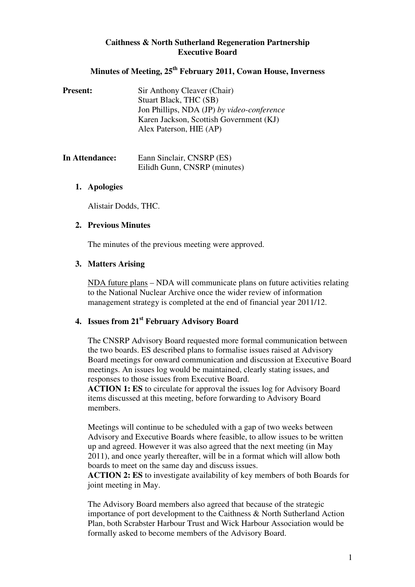### **Caithness & North Sutherland Regeneration Partnership Executive Board**

# **Minutes of Meeting, 25th February 2011, Cowan House, Inverness**

| <b>Present:</b> | Sir Anthony Cleaver (Chair)                |
|-----------------|--------------------------------------------|
|                 | Stuart Black, THC (SB)                     |
|                 | Jon Phillips, NDA (JP) by video-conference |
|                 | Karen Jackson, Scottish Government (KJ)    |
|                 | Alex Paterson, HIE (AP)                    |
|                 |                                            |

| In Attendance: | Eann Sinclair, CNSRP (ES)    |
|----------------|------------------------------|
|                | Eilidh Gunn, CNSRP (minutes) |

### **1. Apologies**

Alistair Dodds, THC.

#### **2. Previous Minutes**

The minutes of the previous meeting were approved.

### **3. Matters Arising**

NDA future plans – NDA will communicate plans on future activities relating to the National Nuclear Archive once the wider review of information management strategy is completed at the end of financial year 2011/12.

# **4. Issues from 21st February Advisory Board**

The CNSRP Advisory Board requested more formal communication between the two boards. ES described plans to formalise issues raised at Advisory Board meetings for onward communication and discussion at Executive Board meetings. An issues log would be maintained, clearly stating issues, and responses to those issues from Executive Board.

**ACTION 1: ES** to circulate for approval the issues log for Advisory Board items discussed at this meeting, before forwarding to Advisory Board members.

Meetings will continue to be scheduled with a gap of two weeks between Advisory and Executive Boards where feasible, to allow issues to be written up and agreed. However it was also agreed that the next meeting (in May 2011), and once yearly thereafter, will be in a format which will allow both boards to meet on the same day and discuss issues.

**ACTION 2: ES** to investigate availability of key members of both Boards for joint meeting in May.

The Advisory Board members also agreed that because of the strategic importance of port development to the Caithness & North Sutherland Action Plan, both Scrabster Harbour Trust and Wick Harbour Association would be formally asked to become members of the Advisory Board.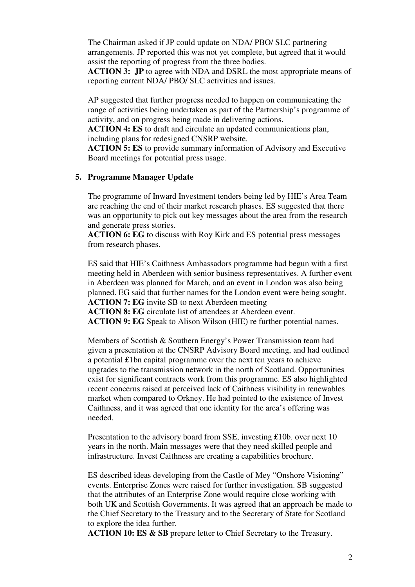The Chairman asked if JP could update on NDA/ PBO/ SLC partnering arrangements. JP reported this was not yet complete, but agreed that it would assist the reporting of progress from the three bodies.

**ACTION 3: JP** to agree with NDA and DSRL the most appropriate means of reporting current NDA/ PBO/ SLC activities and issues.

AP suggested that further progress needed to happen on communicating the range of activities being undertaken as part of the Partnership's programme of activity, and on progress being made in delivering actions.

**ACTION 4: ES** to draft and circulate an updated communications plan, including plans for redesigned CNSRP website.

**ACTION 5: ES** to provide summary information of Advisory and Executive Board meetings for potential press usage.

#### **5. Programme Manager Update**

The programme of Inward Investment tenders being led by HIE's Area Team are reaching the end of their market research phases. ES suggested that there was an opportunity to pick out key messages about the area from the research and generate press stories.

**ACTION 6: EG** to discuss with Roy Kirk and ES potential press messages from research phases.

ES said that HIE's Caithness Ambassadors programme had begun with a first meeting held in Aberdeen with senior business representatives. A further event in Aberdeen was planned for March, and an event in London was also being planned. EG said that further names for the London event were being sought. **ACTION 7: EG** invite SB to next Aberdeen meeting

**ACTION 8: EG** circulate list of attendees at Aberdeen event.

**ACTION 9: EG** Speak to Alison Wilson (HIE) re further potential names.

Members of Scottish & Southern Energy's Power Transmission team had given a presentation at the CNSRP Advisory Board meeting, and had outlined a potential £1bn capital programme over the next ten years to achieve upgrades to the transmission network in the north of Scotland. Opportunities exist for significant contracts work from this programme. ES also highlighted recent concerns raised at perceived lack of Caithness visibility in renewables market when compared to Orkney. He had pointed to the existence of Invest Caithness, and it was agreed that one identity for the area's offering was needed.

Presentation to the advisory board from SSE, investing £10b. over next 10 years in the north. Main messages were that they need skilled people and infrastructure. Invest Caithness are creating a capabilities brochure.

ES described ideas developing from the Castle of Mey "Onshore Visioning" events. Enterprise Zones were raised for further investigation. SB suggested that the attributes of an Enterprise Zone would require close working with both UK and Scottish Governments. It was agreed that an approach be made to the Chief Secretary to the Treasury and to the Secretary of State for Scotland to explore the idea further.

**ACTION 10: ES & SB** prepare letter to Chief Secretary to the Treasury.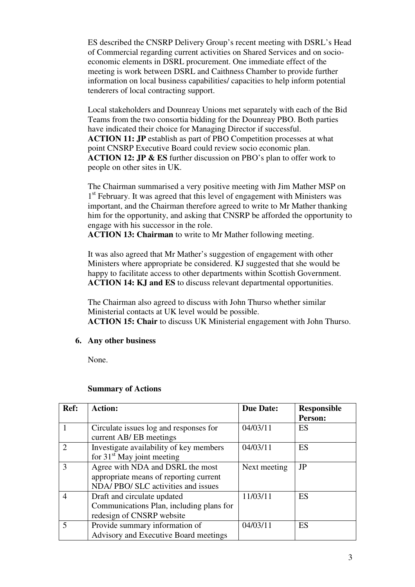ES described the CNSRP Delivery Group's recent meeting with DSRL's Head of Commercial regarding current activities on Shared Services and on socioeconomic elements in DSRL procurement. One immediate effect of the meeting is work between DSRL and Caithness Chamber to provide further information on local business capabilities/ capacities to help inform potential tenderers of local contracting support.

Local stakeholders and Dounreay Unions met separately with each of the Bid Teams from the two consortia bidding for the Dounreay PBO. Both parties have indicated their choice for Managing Director if successful. **ACTION 11: JP** establish as part of PBO Competition processes at what point CNSRP Executive Board could review socio economic plan. **ACTION 12: JP & ES** further discussion on PBO's plan to offer work to people on other sites in UK.

The Chairman summarised a very positive meeting with Jim Mather MSP on 1<sup>st</sup> February. It was agreed that this level of engagement with Ministers was important, and the Chairman therefore agreed to write to Mr Mather thanking him for the opportunity, and asking that CNSRP be afforded the opportunity to engage with his successor in the role.

**ACTION 13: Chairman** to write to Mr Mather following meeting.

It was also agreed that Mr Mather's suggestion of engagement with other Ministers where appropriate be considered. KJ suggested that she would be happy to facilitate access to other departments within Scottish Government. **ACTION 14: KJ and ES** to discuss relevant departmental opportunities.

The Chairman also agreed to discuss with John Thurso whether similar Ministerial contacts at UK level would be possible. **ACTION 15: Chair** to discuss UK Ministerial engagement with John Thurso.

## **6. Any other business**

None.

| Ref:           | <b>Action:</b>                                                                                                  | <b>Due Date:</b> | <b>Responsible</b><br><b>Person:</b> |
|----------------|-----------------------------------------------------------------------------------------------------------------|------------------|--------------------------------------|
| 1              | Circulate issues log and responses for<br>current AB/EB meetings                                                | 04/03/11         | ES                                   |
| 2              | Investigate availability of key members<br>for $31st$ May joint meeting                                         | 04/03/11         | <b>ES</b>                            |
| 3              | Agree with NDA and DSRL the most<br>appropriate means of reporting current<br>NDA/PBO/SLC activities and issues | Next meeting     | JP                                   |
| $\overline{4}$ | Draft and circulate updated<br>Communications Plan, including plans for<br>redesign of CNSRP website            | 11/03/11         | ES                                   |
| 5              | Provide summary information of<br>Advisory and Executive Board meetings                                         | 04/03/11         | <b>ES</b>                            |

#### **Summary of Actions**